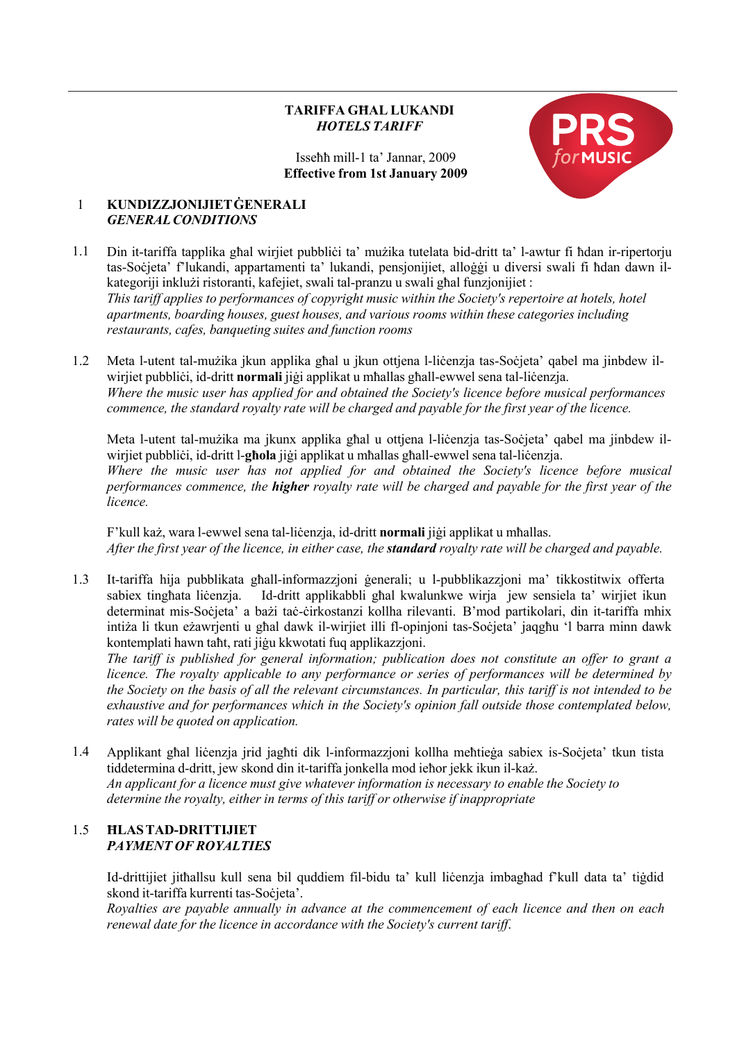# **TARIFFA GĦAL LUKANDI** *HOTELS TARIFF*

Isseħħ mill-1 ta' Jannar, 2009 **Effective from 1st January 2009**



#### 1 **KUNDIZZJONIJIETĠENERALI** *GENERALCONDITIONS*

- 1.1 Din it-tariffa tapplika għal wirjiet pubbliċi ta' mużika tutelata bid-dritt ta' l-awtur fi ħdan ir-ripertorju tas-Soċjeta' f'lukandi, appartamenti ta' lukandi, pensjonijiet, alloġġi u diversi swali fi ħdan dawn ilkategoriji inklużi ristoranti, kafejiet, swali tal-pranzu u swali għal funzjonijiet : *This tariff applies to performances of copyright music within the Society's repertoire at hotels, hotel apartments, boarding houses, guest houses, and various rooms within these categories including restaurants, cafes, banqueting suites and function rooms*
- 1.2 Meta l-utent tal-mużika jkun applika għal u jkun ottjena l-liċenzja tas-Soċjeta' qabel ma jinbdew ilwirjiet pubbliċi, id-dritt **normali** jiġi applikat u mħallas għall-ewwel sena tal-liċenzja. *Where the music user has applied for and obtained the Society's licence before musical performances commence, the standard royalty rate will be charged and payable for the first year of the licence.*

Meta l-utent tal-mużika ma jkunx applika għal u ottjena l-liċenzja tas-Soċjeta' qabel ma jinbdew ilwirjiet pubbliċi, id-dritt l-**għola** jiġi applikat u mħallas għall-ewwel sena tal-liċenzja. *Where the music user has not applied for and obtained the Society's licence before musical performances commence, the higher royalty rate will be charged and payable for the first year of the licence.*

F'kull każ, wara l-ewwel sena tal-liċenzja, id-dritt **normali** jiġi applikat u mħallas. After the first year of the licence, in either case, the **standard** royalty rate will be charged and payable.

1.3 It-tariffa hija pubblikata għall-informazzjoni ġenerali; u l-pubblikazzjoni ma' tikkostitwix offerta sabiex tingħata liċenzja. Id-dritt applikabbli għal kwalunkwe wirja jew sensiela ta' wirjiet ikun determinat mis-Soċjeta' a bażi taċ-ċirkostanzi kollha rilevanti. B'mod partikolari, din it-tariffa mhix intiża li tkun eżawrjenti u għal dawk il-wirjiet illi fl-opinjoni tas-Soċjeta' jaqgħu 'l barra minn dawk kontemplati hawn taħt, rati jiġu kkwotati fuq applikazzjoni.

*The tariff is published for general information; publication does not constitute an offer to grant a licence. The royalty applicable to any performance or series of performances will be determined by the Society on the basis of all the relevant circumstances. In particular, this tariff is not intended to be exhaustive and for performances which in the Society's opinion fall outside those contemplated below, rates will be quoted on application.*

1.4 Applikant għal liċenzja jrid jagħti dik l-informazzjoni kollha meħtieġa sabiex is-Soċjeta' tkun tista tiddetermina d-dritt, jew skond din it-tariffa jonkella mod ieħor jekk ikun il-każ. *An applicant for a licence must give whatever information is necessary to enable the Society to determine the royalty, either in terms of this tariff or otherwise if inappropriate*

# 1.5 **ĦLASTAD-DRITTIJIET** *PAYMENT OF ROYALTIES*

Id-drittijiet jitħallsu kull sena bil quddiem fil-bidu ta' kull liċenzja imbagħad f'kull data ta' tiġdid skond it-tariffa kurrenti tas-Soċjeta'.

*Royalties are payable annually in advance at the commencement of each licence and then on each renewal date for the licence in accordance with the Society's current tariff*.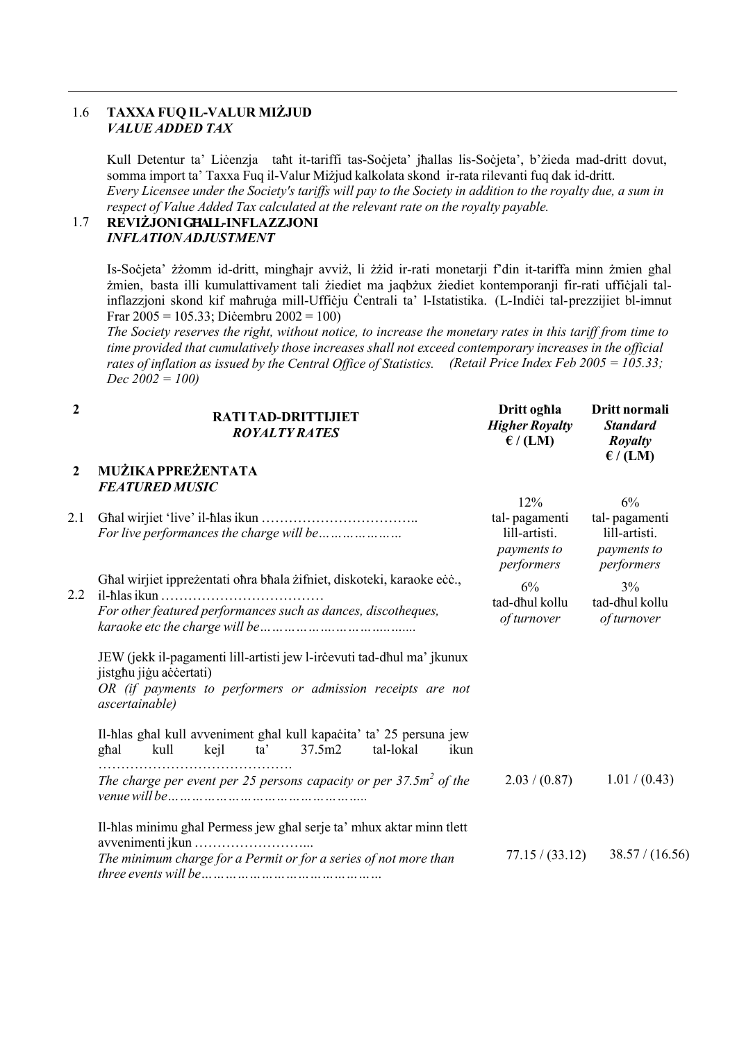# 1.6 **TAXXA FUQ IL-VALUR MIŻJUD** *VALUE ADDED TAX*

Kull Detentur ta' Liċenzja taħt it-tariffi tas-Soċjeta' jħallas lis-Soċjeta', b'żieda mad-dritt dovut, somma import ta' Taxxa Fuq il-Valur Miżjud kalkolata skond ir-rata rilevanti fuq dak id-dritt. Every Licensee under the Society's tariffs will pay to the Society in addition to the royalty due, a sum in *respect of Value Added Tax calculated at the relevant rate on the royalty payable.*

#### **REVIŻJONIGĦALL-INFLAZZJONI** *INFLATIONADJUSTMENT* 1.7

Is-Soċjeta' żżomm id-dritt, mingħajr avviż, li żżid ir-rati monetarji f'din it-tariffa minn żmien għal żmien, basta illi kumulattivament tali żiediet ma jaqbżux żiediet kontemporanji fir-rati uffiċjali talinflazzjoni skond kif maħruġa mill-Uffiċju Ċentrali ta' l-Istatistika. (L-Indiċi tal-prezzijiet bl-imnut Frar 2005 = 105.33; Diċembru 2002 = 100)

The Society reserves the right, without notice, to increase the monetary rates in this tariff from time to *time provided that cumulatively those increases shall not exceed contemporary increases in the official* rates of inflation as issued by the Central Office of Statistics. (Retail Price Index Feb 2005 = 105.33; *Dec 2002 = 100)*

| $\boldsymbol{2}$ | RATITAD-DRITTIJIET<br><b>ROYALTY RATES</b>                                                                                                                                         | Dritt oghla<br><b>Higher Royalty</b><br>$\epsilon$ / (LM) | Dritt normali<br><b>Standard</b><br><b>Royalty</b><br>$\epsilon$ / (LM) |
|------------------|------------------------------------------------------------------------------------------------------------------------------------------------------------------------------------|-----------------------------------------------------------|-------------------------------------------------------------------------|
| $\overline{2}$   | MUŻIKA PPREŻENTATA                                                                                                                                                                 |                                                           |                                                                         |
|                  | <b>FEATURED MUSIC</b>                                                                                                                                                              |                                                           |                                                                         |
| 2.1              | For live performances the charge will be                                                                                                                                           | 12%<br>tal-pagamenti<br>lill-artisti.<br>payments to      | 6%<br>tal-pagamenti<br>lill-artisti.<br>payments to                     |
| 2.2              | Ghal wirjiet ippreżentati ohra bhala żifniet, diskoteki, karaoke ecc.,<br>For other featured performances such as dances, discotheques,                                            | performers<br>6%<br>tad-dhul kollu<br>of turnover         | performers<br>$3\%$<br>tad-dhul kollu<br>of turnover                    |
|                  | JEW (jekk il-pagamenti lill-artisti jew l-ircevuti tad-dhul ma' jkunux<br>jistghu jigu accertati)<br>OR (if payments to performers or admission receipts are not<br>ascertainable) |                                                           |                                                                         |
|                  | Il-hlas ghal kull avveniment ghal kull kapacita' ta' 25 persuna jew<br>37.5m2<br>kull<br>kejl<br>ta'<br>tal-lokal<br>ghal<br>ikun                                                  |                                                           |                                                                         |
|                  | The charge per event per 25 persons capacity or per $37.5m^2$ of the                                                                                                               | 2.03 / (0.87)                                             | 1.01 / (0.43)                                                           |
|                  | Il-hlas minimu ghal Permess jew ghal serje ta' mhux aktar minn tlett<br>The minimum charge for a Permit or for a series of not more than                                           | 77.15 / (33.12)                                           | 38.57 / (16.56)                                                         |
|                  | <i>three events will be</i>                                                                                                                                                        |                                                           |                                                                         |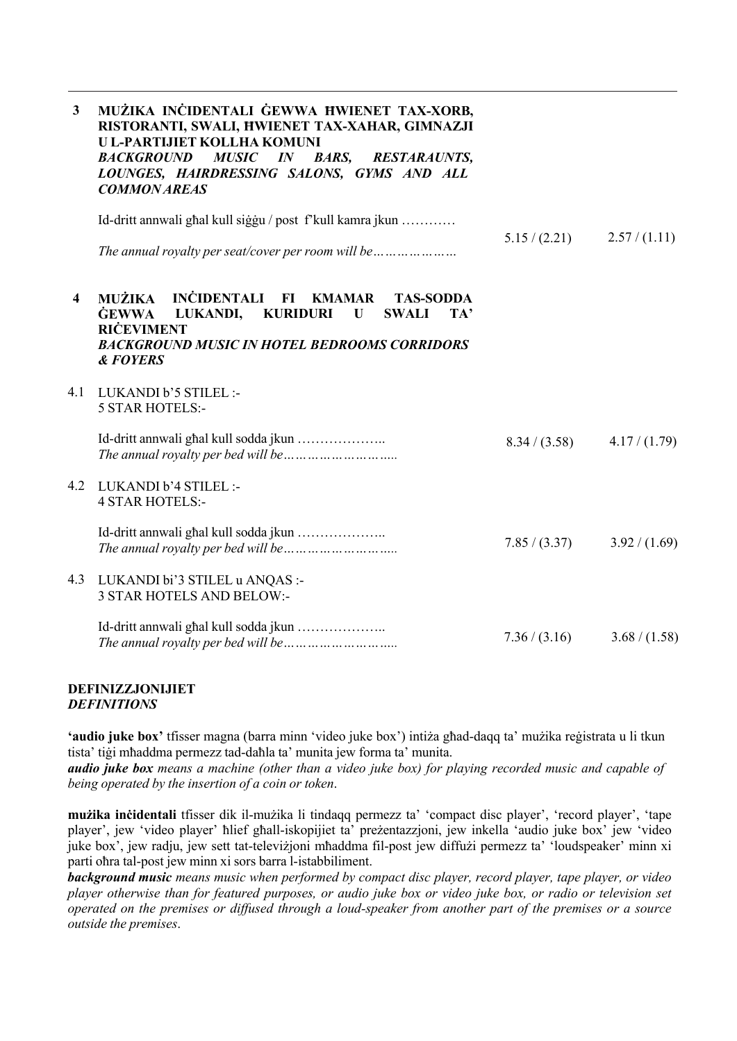| $\mathbf{3}$            | MUŻIKA INCIDENTALI GEWWA HWIENET TAX-XORB,<br>RISTORANTI, SWALI, HWIENET TAX-XAHAR, GIMNAZJI<br>U L-PARTIJIET KOLLHA KOMUNI<br><b>MUSIC</b><br><b>BACKGROUND</b><br><b>BARS,</b><br>$I\!N$<br><b>RESTARAUNTS,</b><br>LOUNGES, HAIRDRESSING SALONS, GYMS AND ALL<br><b>COMMON AREAS</b> |               |               |
|-------------------------|----------------------------------------------------------------------------------------------------------------------------------------------------------------------------------------------------------------------------------------------------------------------------------------|---------------|---------------|
|                         | Id-dritt annwali ghal kull siggu / post f'kull kamra jkun                                                                                                                                                                                                                              |               |               |
|                         |                                                                                                                                                                                                                                                                                        | 5.15/(2.21)   | 2.57/(1.11)   |
| $\overline{\mathbf{4}}$ | INĊIDENTALI FI<br><b>MUŻIKA</b><br><b>KMAMAR</b><br><b>TAS-SODDA</b><br><b>GEWWA</b><br>LUKANDI,<br><b>KURIDURI</b><br>U<br><b>SWALI</b><br>TA'<br><b>RICEVIMENT</b><br><b>BACKGROUND MUSIC IN HOTEL BEDROOMS CORRIDORS</b><br><b>&amp;FOYERS</b>                                      |               |               |
| 4.1                     | LUKANDI b'5 STILEL :-<br><b>5 STAR HOTELS:-</b>                                                                                                                                                                                                                                        |               |               |
|                         | Id-dritt annwali ghal kull sodda jkun                                                                                                                                                                                                                                                  | 8.34 / (3.58) | 4.17/(1.79)   |
| 4.2                     | LUKANDI b'4 STILEL :-<br><b>4 STAR HOTELS:-</b>                                                                                                                                                                                                                                        |               |               |
|                         | Id-dritt annwali ghal kull sodda jkun                                                                                                                                                                                                                                                  | 7.85 / (3.37) | 3.92 / (1.69) |
|                         | 4.3 LUKANDI bi'3 STILEL u ANQAS :-<br><b>3 STAR HOTELS AND BELOW:-</b>                                                                                                                                                                                                                 |               |               |
|                         | Id-dritt annwali ghal kull sodda jkun                                                                                                                                                                                                                                                  | 7.36 / (3.16) | 3.68 / (1.58) |

#### **DEFINIZZJONIJIET** *DEFINITIONS*

**'audio juke box'** tfisser magna (barra minn 'video juke box') intiża għad-daqq ta' mużika reġistrata u li tkun tista' tiġi mħaddma permezz tad-daħla ta' munita jew forma ta' munita.

**audio juke box** means a machine (other than a video juke box) for playing recorded music and capable of *being operated by the insertion of a coin or token*.

**mużika inċidentali** tfisser dik il-mużika li tindaqq permezz ta' 'compact disc player', 'record player', 'tape player', jew 'video player' ħlief għall-iskopijiet ta' preżentazzjoni, jew inkella 'audio juke box' jew 'video juke box', jew radju, jew sett tat-televiżjoni mħaddma fil-post jew diffużi permezz ta' 'loudspeaker' minn xi parti oħra tal-post jew minn xi sors barra l-istabbiliment.

*background music means music when performed by compact disc player, record player, tape player, or video* player otherwise than for featured purposes, or audio juke box or video juke box, or radio or television set operated on the premises or diffused through a loud-speaker from another part of the premises or a source *outside the premises*.